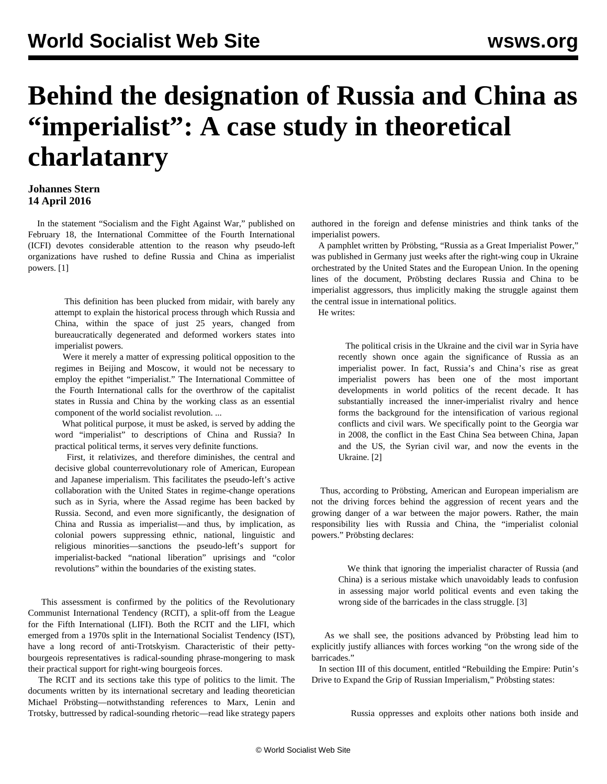## **Behind the designation of Russia and China as "imperialist": A case study in theoretical charlatanry**

## **Johannes Stern 14 April 2016**

 In the statement "Socialism and the Fight Against War," published on February 18, the International Committee of the Fourth International (ICFI) devotes considerable attention to the reason why pseudo-left organizations have rushed to define Russia and China as imperialist powers. [1]

 This definition has been plucked from midair, with barely any attempt to explain the historical process through which Russia and China, within the space of just 25 years, changed from bureaucratically degenerated and deformed workers states into imperialist powers.

 Were it merely a matter of expressing political opposition to the regimes in Beijing and Moscow, it would not be necessary to employ the epithet "imperialist." The International Committee of the Fourth International calls for the overthrow of the capitalist states in Russia and China by the working class as an essential component of the world socialist revolution. ...

 What political purpose, it must be asked, is served by adding the word "imperialist" to descriptions of China and Russia? In practical political terms, it serves very definite functions.

 First, it relativizes, and therefore diminishes, the central and decisive global counterrevolutionary role of American, European and Japanese imperialism. This facilitates the pseudo-left's active collaboration with the United States in regime-change operations such as in Syria, where the Assad regime has been backed by Russia. Second, and even more significantly, the designation of China and Russia as imperialist—and thus, by implication, as colonial powers suppressing ethnic, national, linguistic and religious minorities—sanctions the pseudo-left's support for imperialist-backed "national liberation" uprisings and "color revolutions" within the boundaries of the existing states.

 This assessment is confirmed by the politics of the Revolutionary Communist International Tendency (RCIT), a split-off from the League for the Fifth International (LIFI). Both the RCIT and the LIFI, which emerged from a 1970s split in the International Socialist Tendency (IST), have a long record of anti-Trotskyism. Characteristic of their pettybourgeois representatives is radical-sounding phrase-mongering to mask their practical support for right-wing bourgeois forces.

 The RCIT and its sections take this type of politics to the limit. The documents written by its international secretary and leading theoretician Michael Pröbsting—notwithstanding references to Marx, Lenin and Trotsky, buttressed by radical-sounding rhetoric—read like strategy papers

authored in the foreign and defense ministries and think tanks of the imperialist powers.

 A pamphlet written by Pröbsting, "Russia as a Great Imperialist Power," was published in Germany just weeks after the right-wing coup in Ukraine orchestrated by the United States and the European Union. In the opening lines of the document, Pröbsting declares Russia and China to be imperialist aggressors, thus implicitly making the struggle against them the central issue in international politics.

He writes:

 The political crisis in the Ukraine and the civil war in Syria have recently shown once again the significance of Russia as an imperialist power. In fact, Russia's and China's rise as great imperialist powers has been one of the most important developments in world politics of the recent decade. It has substantially increased the inner-imperialist rivalry and hence forms the background for the intensification of various regional conflicts and civil wars. We specifically point to the Georgia war in 2008, the conflict in the East China Sea between China, Japan and the US, the Syrian civil war, and now the events in the Ukraine. [2]

 Thus, according to Pröbsting, American and European imperialism are not the driving forces behind the aggression of recent years and the growing danger of a war between the major powers. Rather, the main responsibility lies with Russia and China, the "imperialist colonial powers." Pröbsting declares:

 We think that ignoring the imperialist character of Russia (and China) is a serious mistake which unavoidably leads to confusion in assessing major world political events and even taking the wrong side of the barricades in the class struggle. [3]

 As we shall see, the positions advanced by Pröbsting lead him to explicitly justify alliances with forces working "on the wrong side of the barricades."

 In section III of this document, entitled "Rebuilding the Empire: Putin's Drive to Expand the Grip of Russian Imperialism," Pröbsting states:

Russia oppresses and exploits other nations both inside and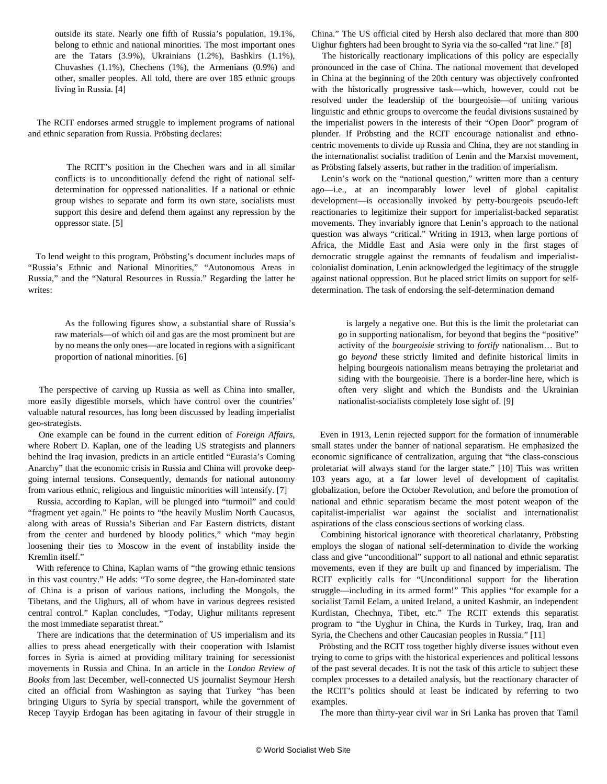outside its state. Nearly one fifth of Russia's population, 19.1%, belong to ethnic and national minorities. The most important ones are the Tatars (3.9%), Ukrainians (1.2%), Bashkirs (1.1%), Chuvashes (1.1%), Chechens (1%), the Armenians (0.9%) and other, smaller peoples. All told, there are over 185 ethnic groups living in Russia. [4]

 The RCIT endorses armed struggle to implement programs of national and ethnic separation from Russia. Pröbsting declares:

 The RCIT's position in the Chechen wars and in all similar conflicts is to unconditionally defend the right of national selfdetermination for oppressed nationalities. If a national or ethnic group wishes to separate and form its own state, socialists must support this desire and defend them against any repression by the oppressor state. [5]

 To lend weight to this program, Pröbsting's document includes maps of "Russia's Ethnic and National Minorities," "Autonomous Areas in Russia," and the "Natural Resources in Russia." Regarding the latter he writes:

 As the following figures show, a substantial share of Russia's raw materials—of which oil and gas are the most prominent but are by no means the only ones—are located in regions with a significant proportion of national minorities. [6]

 The perspective of carving up Russia as well as China into smaller, more easily digestible morsels, which have control over the countries' valuable natural resources, has long been discussed by leading imperialist geo-strategists.

 One example can be found in the current edition of *Foreign Affairs*, where Robert D. Kaplan, one of the leading US strategists and planners behind the Iraq invasion, predicts in an article entitled "Eurasia's Coming Anarchy" that the economic crisis in Russia and China will provoke deepgoing internal tensions. Consequently, demands for national autonomy from various ethnic, religious and linguistic minorities will intensify. [7]

 Russia, according to Kaplan, will be plunged into "turmoil" and could "fragment yet again." He points to "the heavily Muslim North Caucasus, along with areas of Russia's Siberian and Far Eastern districts, distant from the center and burdened by bloody politics," which "may begin loosening their ties to Moscow in the event of instability inside the Kremlin itself."

 With reference to China, Kaplan warns of "the growing ethnic tensions in this vast country." He adds: "To some degree, the Han-dominated state of China is a prison of various nations, including the Mongols, the Tibetans, and the Uighurs, all of whom have in various degrees resisted central control." Kaplan concludes, "Today, Uighur militants represent the most immediate separatist threat."

 There are indications that the determination of US imperialism and its allies to press ahead energetically with their cooperation with Islamist forces in Syria is aimed at providing military training for secessionist movements in Russia and China. In an article in the *London Review of Books* from last December, well-connected US journalist Seymour Hersh cited an official from Washington as saying that Turkey "has been bringing Uigurs to Syria by special transport, while the government of Recep Tayyip Erdogan has been agitating in favour of their struggle in

China." The US official cited by Hersh also declared that more than 800 Uighur fighters had been brought to Syria via the so-called "rat line." [8]

 The historically reactionary implications of this policy are especially pronounced in the case of China. The national movement that developed in China at the beginning of the 20th century was objectively confronted with the historically progressive task—which, however, could not be resolved under the leadership of the bourgeoisie—of uniting various linguistic and ethnic groups to overcome the feudal divisions sustained by the imperialist powers in the interests of their "Open Door" program of plunder. If Pröbsting and the RCIT encourage nationalist and ethnocentric movements to divide up Russia and China, they are not standing in the internationalist socialist tradition of Lenin and the Marxist movement, as Pröbsting falsely asserts, but rather in the tradition of imperialism.

 Lenin's work on the "national question," written more than a century ago—i.e., at an incomparably lower level of global capitalist development—is occasionally invoked by petty-bourgeois pseudo-left reactionaries to legitimize their support for imperialist-backed separatist movements. They invariably ignore that Lenin's approach to the national question was always "critical." Writing in 1913, when large portions of Africa, the Middle East and Asia were only in the first stages of democratic struggle against the remnants of feudalism and imperialistcolonialist domination, Lenin acknowledged the legitimacy of the struggle against national oppression. But he placed strict limits on support for selfdetermination. The task of endorsing the self-determination demand

 is largely a negative one. But this is the limit the proletariat can go in supporting nationalism, for beyond that begins the "positive" activity of the *bourgeoisie* striving to *fortify* nationalism… But to go *beyond* these strictly limited and definite historical limits in helping bourgeois nationalism means betraying the proletariat and siding with the bourgeoisie. There is a border-line here, which is often very slight and which the Bundists and the Ukrainian nationalist-socialists completely lose sight of. [9]

 Even in 1913, Lenin rejected support for the formation of innumerable small states under the banner of national separatism. He emphasized the economic significance of centralization, arguing that "the class-conscious proletariat will always stand for the larger state." [10] This was written 103 years ago, at a far lower level of development of capitalist globalization, before the October Revolution, and before the promotion of national and ethnic separatism became the most potent weapon of the capitalist-imperialist war against the socialist and internationalist aspirations of the class conscious sections of working class.

 Combining historical ignorance with theoretical charlatanry, Pröbsting employs the slogan of national self-determination to divide the working class and give "unconditional" support to all national and ethnic separatist movements, even if they are built up and financed by imperialism. The RCIT explicitly calls for "Unconditional support for the liberation struggle—including in its armed form!" This applies "for example for a socialist Tamil Eelam, a united Ireland, a united Kashmir, an independent Kurdistan, Chechnya, Tibet, etc." The RCIT extends this separatist program to "the Uyghur in China, the Kurds in Turkey, Iraq, Iran and Syria, the Chechens and other Caucasian peoples in Russia." [11]

 Pröbsting and the RCIT toss together highly diverse issues without even trying to come to grips with the historical experiences and political lessons of the past several decades. It is not the task of this article to subject these complex processes to a detailed analysis, but the reactionary character of the RCIT's politics should at least be indicated by referring to two examples.

The more than thirty-year civil war in Sri Lanka has proven that Tamil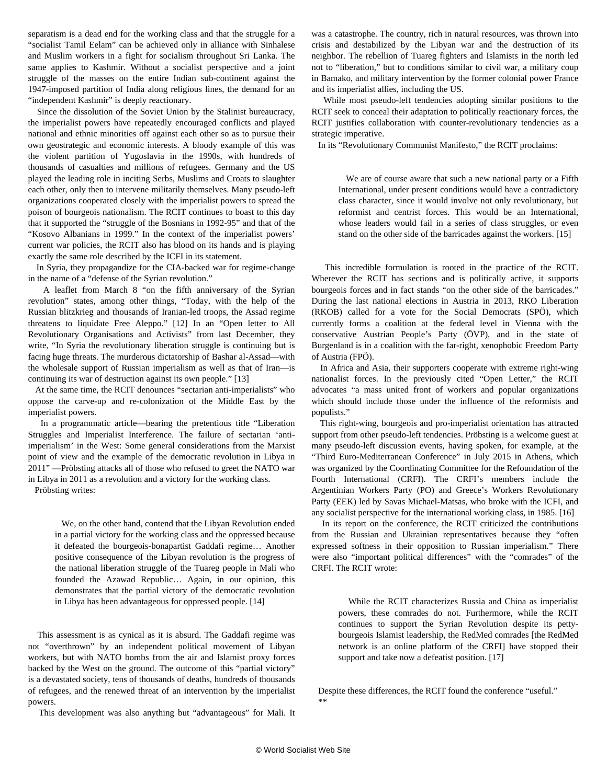separatism is a dead end for the working class and that the struggle for a "socialist Tamil Eelam" can be achieved only in alliance with Sinhalese and Muslim workers in a fight for socialism throughout Sri Lanka. The same applies to Kashmir. Without a socialist perspective and a joint struggle of the masses on the entire Indian sub-continent against the 1947-imposed partition of India along religious lines, the demand for an "independent Kashmir" is deeply reactionary.

 Since the dissolution of the Soviet Union by the Stalinist bureaucracy, the imperialist powers have repeatedly encouraged conflicts and played national and ethnic minorities off against each other so as to pursue their own geostrategic and economic interests. A bloody example of this was the violent partition of Yugoslavia in the 1990s, with hundreds of thousands of casualties and millions of refugees. Germany and the US played the leading role in inciting Serbs, Muslims and Croats to slaughter each other, only then to intervene militarily themselves. Many pseudo-left organizations cooperated closely with the imperialist powers to spread the poison of bourgeois nationalism. The RCIT continues to boast to this day that it supported the "struggle of the Bosnians in 1992-95" and that of the "Kosovo Albanians in 1999." In the context of the imperialist powers' current war policies, the RCIT also has blood on its hands and is playing exactly the same role described by the ICFI in its statement.

 In Syria, they propagandize for the CIA-backed war for regime-change in the name of a "defense of the Syrian revolution."

 A leaflet from March 8 "on the fifth anniversary of the Syrian revolution" states, among other things, "Today, with the help of the Russian blitzkrieg and thousands of Iranian-led troops, the Assad regime threatens to liquidate Free Aleppo." [12] In an "Open letter to All Revolutionary Organisations and Activists" from last December, they write, "In Syria the revolutionary liberation struggle is continuing but is facing huge threats. The murderous dictatorship of Bashar al-Assad—with the wholesale support of Russian imperialism as well as that of Iran—is continuing its war of destruction against its own people." [13]

 At the same time, the RCIT denounces "sectarian anti-imperialists" who oppose the carve-up and re-colonization of the Middle East by the imperialist powers.

 In a programmatic article—bearing the pretentious title "Liberation Struggles and Imperialist Interference. The failure of sectarian 'antiimperialism' in the West: Some general considerations from the Marxist point of view and the example of the democratic revolution in Libya in 2011" —Pröbsting attacks all of those who refused to greet the NATO war in Libya in 2011 as a revolution and a victory for the working class.

Pröbsting writes:

 We, on the other hand, contend that the Libyan Revolution ended in a partial victory for the working class and the oppressed because it defeated the bourgeois-bonapartist Gaddafi regime… Another positive consequence of the Libyan revolution is the progress of the national liberation struggle of the Tuareg people in Mali who founded the Azawad Republic… Again, in our opinion, this demonstrates that the partial victory of the democratic revolution in Libya has been advantageous for oppressed people. [14]

 This assessment is as cynical as it is absurd. The Gaddafi regime was not "overthrown" by an independent political movement of Libyan workers, but with NATO bombs from the air and Islamist proxy forces backed by the West on the ground. The outcome of this "partial victory" is a devastated society, tens of thousands of deaths, hundreds of thousands of refugees, and the renewed threat of an intervention by the imperialist powers.

This development was also anything but "advantageous" for Mali. It

was a catastrophe. The country, rich in natural resources, was thrown into crisis and destabilized by the Libyan war and the destruction of its neighbor. The rebellion of Tuareg fighters and Islamists in the north led not to "liberation," but to conditions similar to civil war, a military coup in Bamako, and military intervention by the former colonial power France and its imperialist allies, including the US.

 While most pseudo-left tendencies adopting similar positions to the RCIT seek to conceal their adaptation to politically reactionary forces, the RCIT justifies collaboration with counter-revolutionary tendencies as a strategic imperative.

In its "Revolutionary Communist Manifesto," the RCIT proclaims:

 We are of course aware that such a new national party or a Fifth International, under present conditions would have a contradictory class character, since it would involve not only revolutionary, but reformist and centrist forces. This would be an International, whose leaders would fail in a series of class struggles, or even stand on the other side of the barricades against the workers. [15]

 This incredible formulation is rooted in the practice of the RCIT. Wherever the RCIT has sections and is politically active, it supports bourgeois forces and in fact stands "on the other side of the barricades." During the last national elections in Austria in 2013, RKO Liberation (RKOB) called for a vote for the Social Democrats (SPÖ), which currently forms a coalition at the federal level in Vienna with the conservative Austrian People's Party (ÖVP), and in the state of Burgenland is in a coalition with the far-right, xenophobic Freedom Party of Austria (FPÖ).

 In Africa and Asia, their supporters cooperate with extreme right-wing nationalist forces. In the previously cited "Open Letter," the RCIT advocates "a mass united front of workers and popular organizations which should include those under the influence of the reformists and populists."

 This right-wing, bourgeois and pro-imperialist orientation has attracted support from other pseudo-left tendencies. Pröbsting is a welcome guest at many pseudo-left discussion events, having spoken, for example, at the "Third Euro-Mediterranean Conference" in July 2015 in Athens, which was organized by the Coordinating Committee for the Refoundation of the Fourth International (CRFI). The CRFI's members include the Argentinian Workers Party (PO) and Greece's Workers Revolutionary Party (EEK) led by Savas Michael-Matsas, who broke with the ICFI, and any socialist perspective for the international working class, in 1985. [16]

 In its report on the conference, the RCIT criticized the contributions from the Russian and Ukrainian representatives because they "often expressed softness in their opposition to Russian imperialism." There were also "important political differences" with the "comrades" of the CRFI. The RCIT wrote:

 While the RCIT characterizes Russia and China as imperialist powers, these comrades do not. Furthermore, while the RCIT continues to support the Syrian Revolution despite its pettybourgeois Islamist leadership, the RedMed comrades [the RedMed network is an online platform of the CRFI] have stopped their support and take now a defeatist position. [17]

 Despite these differences, the RCIT found the conference "useful." \*\*